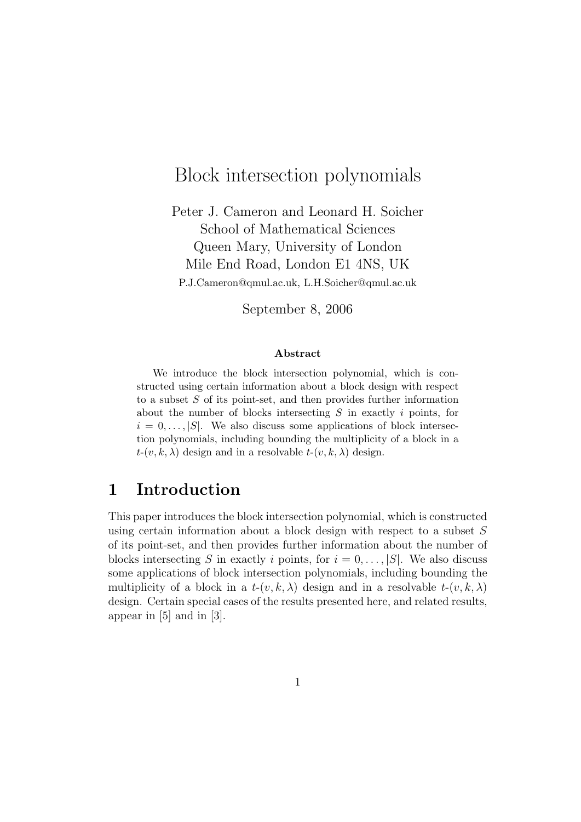# Block intersection polynomials

Peter J. Cameron and Leonard H. Soicher School of Mathematical Sciences Queen Mary, University of London Mile End Road, London E1 4NS, UK P.J.Cameron@qmul.ac.uk, L.H.Soicher@qmul.ac.uk

September 8, 2006

#### Abstract

We introduce the block intersection polynomial, which is constructed using certain information about a block design with respect to a subset  $S$  of its point-set, and then provides further information about the number of blocks intersecting S in exactly i points, for  $i = 0, \ldots, |S|$ . We also discuss some applications of block intersection polynomials, including bounding the multiplicity of a block in a  $t-(v, k, \lambda)$  design and in a resolvable  $t-(v, k, \lambda)$  design.

## 1 Introduction

This paper introduces the block intersection polynomial, which is constructed using certain information about a block design with respect to a subset  $S$ of its point-set, and then provides further information about the number of blocks intersecting S in exactly i points, for  $i = 0, \ldots, |S|$ . We also discuss some applications of block intersection polynomials, including bounding the multiplicity of a block in a  $t-(v, k, \lambda)$  design and in a resolvable  $t-(v, k, \lambda)$ design. Certain special cases of the results presented here, and related results, appear in [5] and in [3].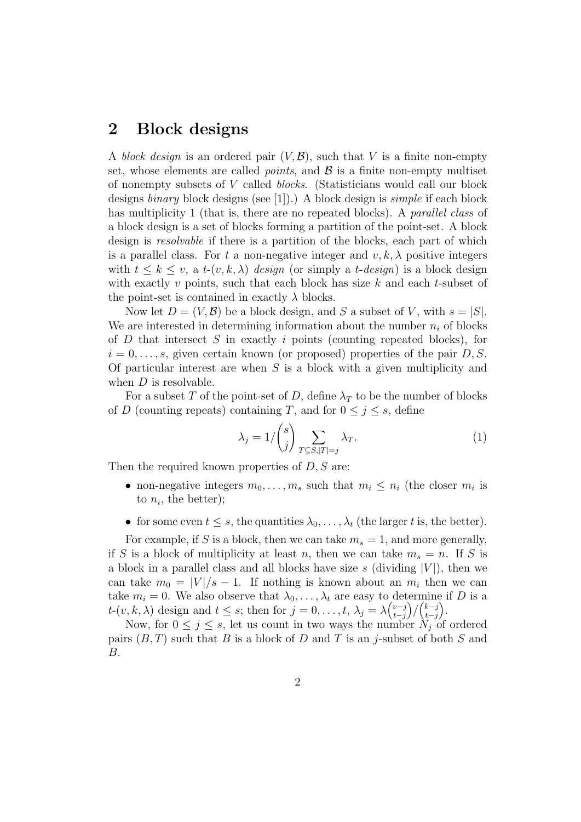## 2 Block designs

A block design is an ordered pair  $(V, \mathcal{B})$ , such that V is a finite non-empty set, whose elements are called *points*, and  $\beta$  is a finite non-empty multiset of nonempty subsets of V called blocks. (Statisticians would call our block designs *binary* block designs (see [1]).) A block design is *simple* if each block has multiplicity 1 (that is, there are no repeated blocks). A *parallel class* of a block design is a set of blocks forming a partition of the point-set. A block design is resolvable if there is a partition of the blocks, each part of which is a parallel class. For t a non-negative integer and  $v, k, \lambda$  positive integers with  $t \leq k \leq v$ , a  $t$ - $(v, k, \lambda)$  design (or simply a  $t$ -design) is a block design with exactly  $v$  points, such that each block has size  $k$  and each  $t$ -subset of the point-set is contained in exactly  $\lambda$  blocks.

Now let  $D = (V, \mathcal{B})$  be a block design, and S a subset of V, with  $s = |S|$ . We are interested in determining information about the number  $n_i$  of blocks of  $D$  that intersect  $S$  in exactly  $i$  points (counting repeated blocks), for  $i = 0, \ldots, s$ , given certain known (or proposed) properties of the pair D, S. Of particular interest are when  $S$  is a block with a given multiplicity and when  $D$  is resolvable.

For a subset T of the point-set of D, define  $\lambda_T$  to be the number of blocks of D (counting repeats) containing T, and for  $0 \leq j \leq s$ , define

$$
\lambda_j = 1/\binom{s}{j} \sum_{T \subseteq S, |T|=j} \lambda_T. \tag{1}
$$

Then the required known properties of  $D, S$  are:

- non-negative integers  $m_0, \ldots, m_s$  such that  $m_i \leq n_i$  (the closer  $m_i$  is to  $n_i$ , the better);
- for some even  $t \leq s$ , the quantities  $\lambda_0, \ldots, \lambda_t$  (the larger t is, the better).

For example, if S is a block, then we can take  $m_s = 1$ , and more generally, if S is a block of multiplicity at least n, then we can take  $m_s = n$ . If S is a block in a parallel class and all blocks have size s (dividing  $|V|$ ), then we can take  $m_0 = |V|/s - 1$ . If nothing is known about an  $m_i$  then we can take  $m_i = 0$ . We also observe that  $\lambda_0, \ldots, \lambda_t$  are easy to determine if D is a  $t$ - $(v, k, \lambda)$  design and  $t \leq s$ ; then for  $j = 0, \ldots, t, \lambda_j = \lambda {\binom{v-j}{t-j}}$ t−j  $\binom{k-j}{t-i}$ t−j .

Now, for  $0 \leq j \leq s$ , let us count in two ways the number  $N_j$  of ordered pairs  $(B, T)$  such that B is a block of D and T is an j-subset of both S and B.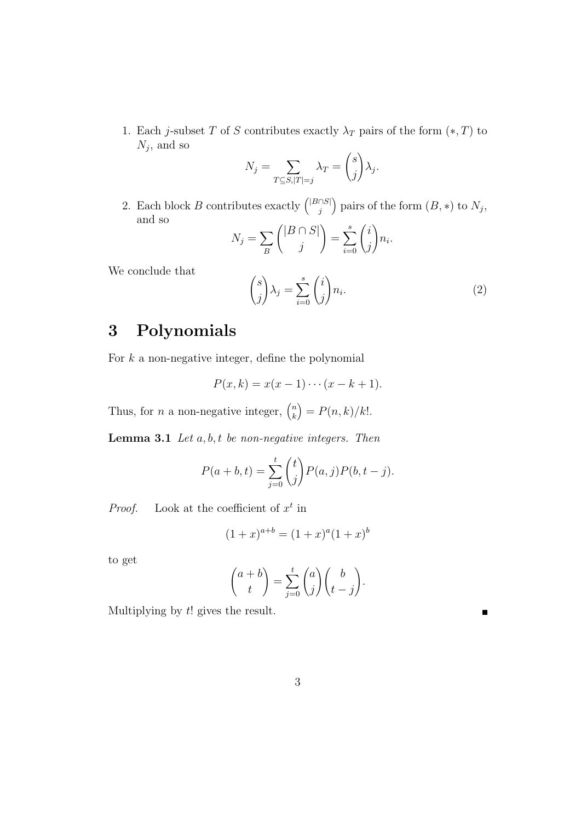1. Each j-subset T of S contributes exactly  $\lambda_T$  pairs of the form  $(*, T)$  to  $N_j$ , and so

$$
N_j = \sum_{T \subseteq S, |T|=j} \lambda_T = {s \choose j} \lambda_j.
$$

2. Each block B contributes exactly  $\binom{|B \cap S|}{i}$ j ) pairs of the form  $(B, *)$  to  $N_j$ , and so

$$
N_j = \sum_B \binom{|B \cap S|}{j} = \sum_{i=0}^s \binom{i}{j} n_i.
$$

We conclude that

$$
\binom{s}{j}\lambda_j = \sum_{i=0}^s \binom{i}{j} n_i.
$$
 (2)

 $\blacksquare$ 

# 3 Polynomials

For  $k$  a non-negative integer, define the polynomial

$$
P(x,k) = x(x-1)\cdots(x-k+1).
$$

Thus, for *n* a non-negative integer,  $\binom{n}{k}$ k  $= P(n, k)/k!$ .

**Lemma 3.1** Let  $a, b, t$  be non-negative integers. Then

$$
P(a + b, t) = \sum_{j=0}^{t} {t \choose j} P(a, j) P(b, t - j).
$$

*Proof.* Look at the coefficient of  $x^t$  in

$$
(1+x)^{a+b} = (1+x)^a (1+x)^b
$$

to get

$$
\binom{a+b}{t} = \sum_{j=0}^{t} \binom{a}{j} \binom{b}{t-j}.
$$

Multiplying by  $t!$  gives the result.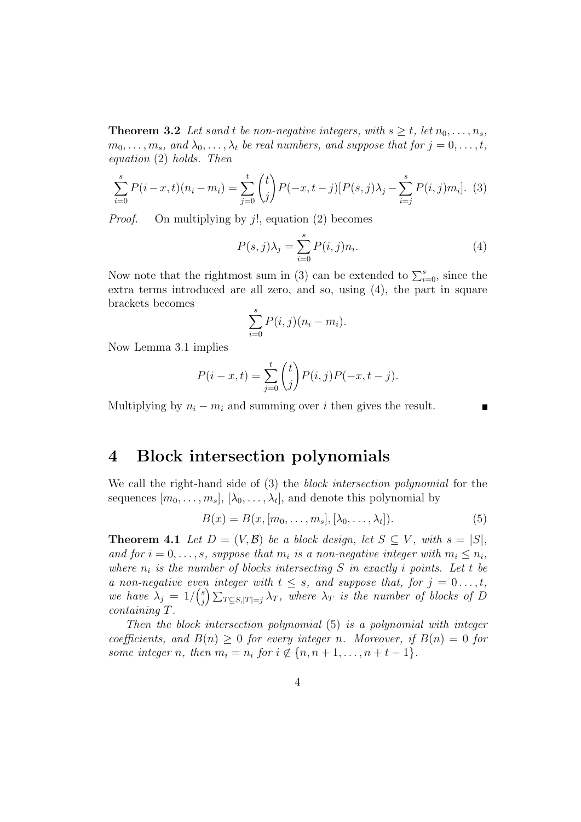**Theorem 3.2** Let sand t be non-negative integers, with  $s \geq t$ , let  $n_0, \ldots, n_s$ ,  $m_0, \ldots, m_s$ , and  $\lambda_0, \ldots, \lambda_t$  be real numbers, and suppose that for  $j = 0, \ldots, t$ , equation (2) holds. Then

$$
\sum_{i=0}^{s} P(i-x,t)(n_i - m_i) = \sum_{j=0}^{t} {t \choose j} P(-x,t-j)[P(s,j)\lambda_j - \sum_{i=j}^{s} P(i,j)m_i].
$$
 (3)

*Proof.* On multiplying by  $i!$ , equation (2) becomes

$$
P(s,j)\lambda_j = \sum_{i=0}^s P(i,j)n_i.
$$
 (4)

Now note that the rightmost sum in (3) can be extended to  $\sum_{i=0}^{s}$ , since the extra terms introduced are all zero, and so, using (4), the part in square brackets becomes

$$
\sum_{i=0}^s P(i,j)(n_i - m_i).
$$

Now Lemma 3.1 implies

$$
P(i - x, t) = \sum_{j=0}^{t} {t \choose j} P(i, j) P(-x, t - j).
$$

Multiplying by  $n_i - m_i$  and summing over i then gives the result.

### 4 Block intersection polynomials

We call the right-hand side of (3) the *block intersection polynomial* for the sequences  $[m_0, \ldots, m_s]$ ,  $[\lambda_0, \ldots, \lambda_t]$ , and denote this polynomial by

$$
B(x) = B(x, [m_0, \dots, m_s], [\lambda_0, \dots, \lambda_t]).
$$
\n
$$
(5)
$$

**Theorem 4.1** Let  $D = (V, \mathcal{B})$  be a block design, let  $S \subseteq V$ , with  $s = |S|$ , and for  $i = 0, \ldots, s$ , suppose that  $m_i$  is a non-negative integer with  $m_i \leq n_i$ , where  $n_i$  is the number of blocks intersecting S in exactly i points. Let t be a non-negative even integer with  $t \leq s$ , and suppose that, for  $j = 0 \ldots, t$ , we have  $\lambda_j = 1/{\binom{s}{j}}$  $\sum_{j=1}^{s} \sum_{T \subseteq S, |T|=j} \lambda_T$ , where  $\lambda_T$  is the number of blocks of D containing T.

Then the block intersection polynomial (5) is a polynomial with integer coefficients, and  $B(n) \geq 0$  for every integer n. Moreover, if  $B(n) = 0$  for some integer n, then  $m_i = n_i$  for  $i \notin \{n, n+1, \ldots, n+t-1\}.$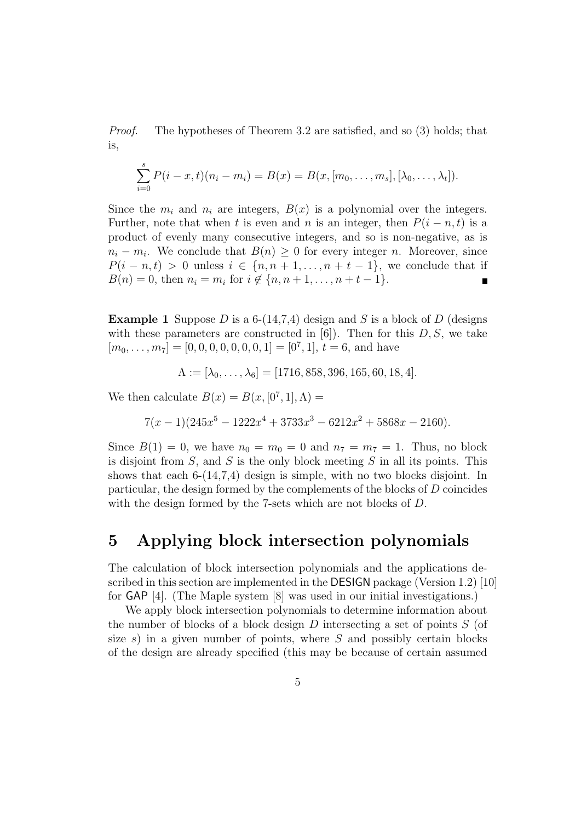Proof. The hypotheses of Theorem 3.2 are satisfied, and so (3) holds; that is,

$$
\sum_{i=0}^{s} P(i-x,t)(n_i - m_i) = B(x) = B(x,[m_0,\ldots,m_s],[\lambda_0,\ldots,\lambda_t]).
$$

Since the  $m_i$  and  $n_i$  are integers,  $B(x)$  is a polynomial over the integers. Further, note that when t is even and n is an integer, then  $P(i - n, t)$  is a product of evenly many consecutive integers, and so is non-negative, as is  $n_i - m_i$ . We conclude that  $B(n) \geq 0$  for every integer n. Moreover, since  $P(i - n, t) > 0$  unless  $i \in \{n, n + 1, \ldots, n + t - 1\}$ , we conclude that if  $B(n) = 0$ , then  $n_i = m_i$  for  $i \notin \{n, n+1, \ldots, n+t-1\}.$  $\blacksquare$ 

**Example 1** Suppose D is a 6-(14,7,4) design and S is a block of D (designs with these parameters are constructed in  $[6]$ . Then for this  $D, S$ , we take  $[m_0, \ldots, m_7] = [0, 0, 0, 0, 0, 0, 0, 1] = [0^7, 1], t = 6$ , and have

$$
\Lambda := [\lambda_0, \dots, \lambda_6] = [1716, 858, 396, 165, 60, 18, 4].
$$

We then calculate  $B(x) = B(x, [0^7, 1], \Lambda) =$ 

$$
7(x-1)(245x^5 - 1222x^4 + 3733x^3 - 6212x^2 + 5868x - 2160).
$$

Since  $B(1) = 0$ , we have  $n_0 = m_0 = 0$  and  $n_7 = m_7 = 1$ . Thus, no block is disjoint from  $S$ , and  $S$  is the only block meeting  $S$  in all its points. This shows that each  $6-(14,7,4)$  design is simple, with no two blocks disjoint. In particular, the design formed by the complements of the blocks of D coincides with the design formed by the 7-sets which are not blocks of D.

## 5 Applying block intersection polynomials

The calculation of block intersection polynomials and the applications described in this section are implemented in the DESIGN package (Version 1.2) [10] for GAP [4]. (The Maple system [8] was used in our initial investigations.)

We apply block intersection polynomials to determine information about the number of blocks of a block design  $D$  intersecting a set of points  $S$  (of size s) in a given number of points, where  $S$  and possibly certain blocks of the design are already specified (this may be because of certain assumed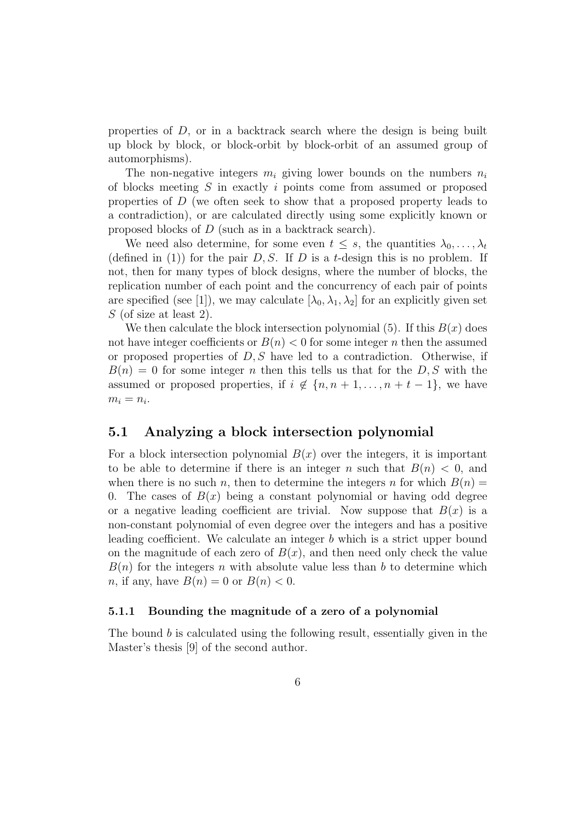properties of D, or in a backtrack search where the design is being built up block by block, or block-orbit by block-orbit of an assumed group of automorphisms).

The non-negative integers  $m_i$  giving lower bounds on the numbers  $n_i$ of blocks meeting  $S$  in exactly i points come from assumed or proposed properties of D (we often seek to show that a proposed property leads to a contradiction), or are calculated directly using some explicitly known or proposed blocks of D (such as in a backtrack search).

We need also determine, for some even  $t \leq s$ , the quantities  $\lambda_0, \ldots, \lambda_t$ (defined in (1)) for the pair  $D, S$ . If D is a t-design this is no problem. If not, then for many types of block designs, where the number of blocks, the replication number of each point and the concurrency of each pair of points are specified (see [1]), we may calculate  $[\lambda_0, \lambda_1, \lambda_2]$  for an explicitly given set  $S$  (of size at least 2).

We then calculate the block intersection polynomial (5). If this  $B(x)$  does not have integer coefficients or  $B(n) < 0$  for some integer n then the assumed or proposed properties of  $D, S$  have led to a contradiction. Otherwise, if  $B(n) = 0$  for some integer n then this tells us that for the D, S with the assumed or proposed properties, if  $i \notin \{n, n+1, \ldots, n+t-1\}$ , we have  $m_i = n_i$ .

#### 5.1 Analyzing a block intersection polynomial

For a block intersection polynomial  $B(x)$  over the integers, it is important to be able to determine if there is an integer n such that  $B(n) < 0$ , and when there is no such n, then to determine the integers n for which  $B(n)$ 0. The cases of  $B(x)$  being a constant polynomial or having odd degree or a negative leading coefficient are trivial. Now suppose that  $B(x)$  is a non-constant polynomial of even degree over the integers and has a positive leading coefficient. We calculate an integer b which is a strict upper bound on the magnitude of each zero of  $B(x)$ , and then need only check the value  $B(n)$  for the integers n with absolute value less than b to determine which *n*, if any, have  $B(n) = 0$  or  $B(n) < 0$ .

#### 5.1.1 Bounding the magnitude of a zero of a polynomial

The bound b is calculated using the following result, essentially given in the Master's thesis [9] of the second author.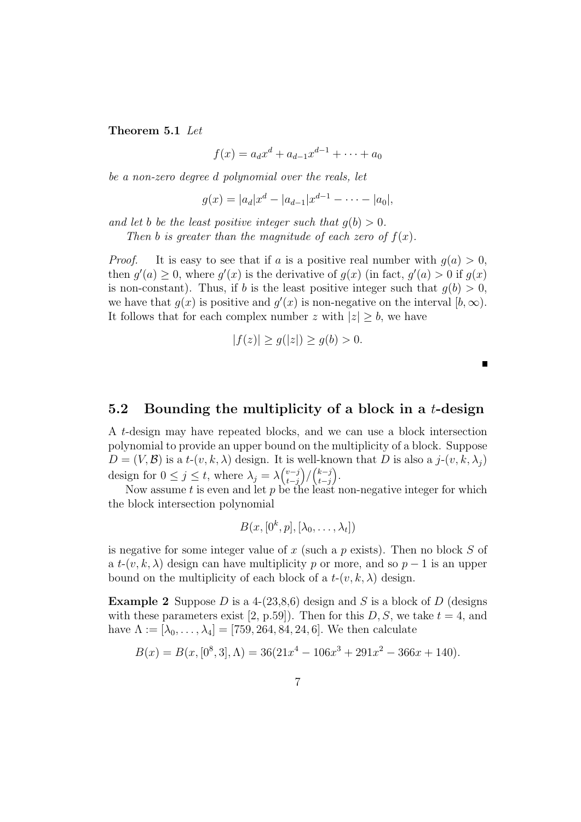Theorem 5.1 Let

 $f(x) = a_d x^d + a_{d-1} x^{d-1} + \cdots + a_0$ 

be a non-zero degree d polynomial over the reals, let

 $g(x) = |a_d|x^d - |a_{d-1}|x^{d-1} - \cdots - |a_0|,$ 

and let b be the least positive integer such that  $q(b) > 0$ .

Then b is greater than the magnitude of each zero of  $f(x)$ .

*Proof.* It is easy to see that if a is a positive real number with  $g(a) > 0$ , then  $g'(a) \geq 0$ , where  $g'(x)$  is the derivative of  $g(x)$  (in fact,  $g'(a) > 0$  if  $g(x)$ ) is non-constant). Thus, if b is the least positive integer such that  $q(b) > 0$ , we have that  $g(x)$  is positive and  $g'(x)$  is non-negative on the interval  $[b,\infty)$ . It follows that for each complex number z with  $|z| \geq b$ , we have

$$
|f(z)| \ge g(|z|) \ge g(b) > 0.
$$

 $\blacksquare$ 

#### 5.2 Bounding the multiplicity of a block in a  $t$ -design

A t-design may have repeated blocks, and we can use a block intersection polynomial to provide an upper bound on the multiplicity of a block. Suppose  $D = (V, \mathcal{B})$  is a t- $(v, k, \lambda)$  design. It is well-known that D is also a j- $(v, k, \lambda_i)$ design for  $0 \leq j \leq t$ , where  $\lambda_j = \lambda {\binom{v-j}{t-j}}$ t−j  $\binom{k-j}{t-i}$ t−j .

Now assume t is even and let  $p$  be the least non-negative integer for which the block intersection polynomial

$$
B(x,[0^k,p],[\lambda_0,\ldots,\lambda_t])
$$

is negative for some integer value of x (such a p exists). Then no block  $S$  of a  $t-(v, k, \lambda)$  design can have multiplicity p or more, and so  $p-1$  is an upper bound on the multiplicity of each block of a  $t-(v, k, \lambda)$  design.

**Example 2** Suppose D is a 4-(23,8,6) design and S is a block of D (designs with these parameters exist [2, p.59]). Then for this  $D, S$ , we take  $t = 4$ , and have  $\Lambda := [\lambda_0, \ldots, \lambda_4] = [759, 264, 84, 24, 6]$ . We then calculate

$$
B(x) = B(x, [0^8, 3], \Lambda) = 36(21x^4 - 106x^3 + 291x^2 - 366x + 140).
$$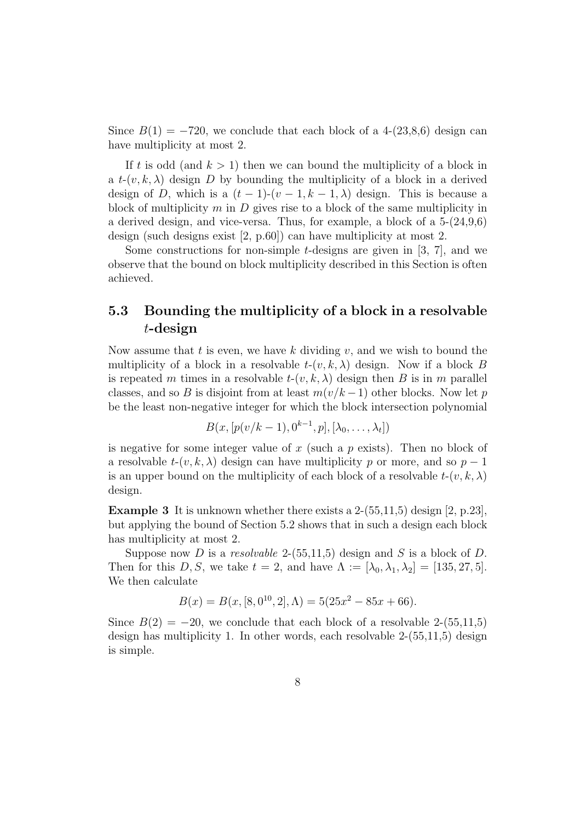Since  $B(1) = -720$ , we conclude that each block of a 4-(23,8,6) design can have multiplicity at most 2.

If t is odd (and  $k > 1$ ) then we can bound the multiplicity of a block in a  $t-(v, k, \lambda)$  design D by bounding the multiplicity of a block in a derived design of D, which is a  $(t-1)-(v-1,k-1,\lambda)$  design. This is because a block of multiplicity  $m$  in  $D$  gives rise to a block of the same multiplicity in a derived design, and vice-versa. Thus, for example, a block of a 5-(24,9,6) design (such designs exist [2, p.60]) can have multiplicity at most 2.

Some constructions for non-simple t-designs are given in  $[3, 7]$ , and we observe that the bound on block multiplicity described in this Section is often achieved.

#### 5.3 Bounding the multiplicity of a block in a resolvable t-design

Now assume that t is even, we have k dividing  $v$ , and we wish to bound the multiplicity of a block in a resolvable  $t-(v, k, \lambda)$  design. Now if a block B is repeated m times in a resolvable  $t-(v, k, \lambda)$  design then B is in m parallel classes, and so B is disjoint from at least  $m(v/k-1)$  other blocks. Now let p be the least non-negative integer for which the block intersection polynomial

$$
B(x, [p(v/k-1), 0^{k-1}, p], [\lambda_0, ..., \lambda_t])
$$

is negative for some integer value of x (such a p exists). Then no block of a resolvable  $t-(v, k, \lambda)$  design can have multiplicity p or more, and so  $p-1$ is an upper bound on the multiplicity of each block of a resolvable  $t-(v, k, \lambda)$ design.

**Example 3** It is unknown whether there exists a  $2-(55,11,5)$  design  $[2, p.23]$ , but applying the bound of Section 5.2 shows that in such a design each block has multiplicity at most 2.

Suppose now D is a resolvable 2-(55,11,5) design and S is a block of D. Then for this D, S, we take  $t = 2$ , and have  $\Lambda := [\lambda_0, \lambda_1, \lambda_2] = [135, 27, 5]$ . We then calculate

$$
B(x) = B(x, [8, 0^{10}, 2], \Lambda) = 5(25x^{2} - 85x + 66).
$$

Since  $B(2) = -20$ , we conclude that each block of a resolvable 2-(55,11,5) design has multiplicity 1. In other words, each resolvable 2-(55,11,5) design is simple.